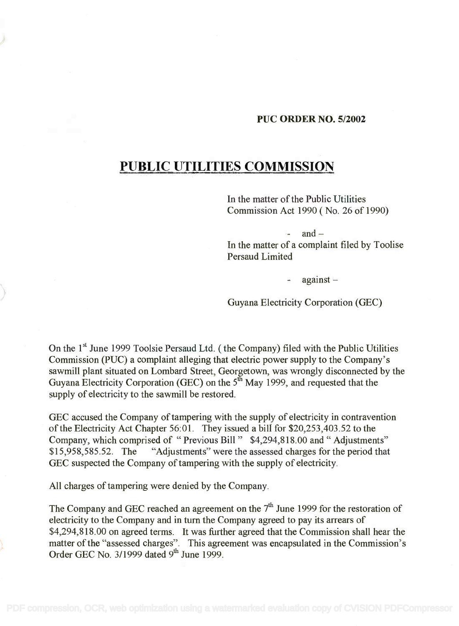## PUC ORDER NO. 5/2002

## PUBLIC UTILITIES COMMISSION **PUBLIC UTILITIES COMMISSION**

In the matter of the Public Utilities **In** the matter of the Public Utilities Commission Act 1990 ( No. 26 of 1990) Commission Act 1990 (No. 26 of 1990)

 $-$  and  $-$ In the matter of a complaint filed by Toolise **In** the matter of a complaint filed by Toolise Persaud Limited Persaud Limited

- against

Guyana Electricity Corporation (GEC)

On the  $1^{\text{st}}$  June 1999 Toolsie Persaud Ltd. ( the Company) filed with the Public Utilities Commission (PUC) a complaint alleging that electric power supply to the Company's Commission (PUC) a complaint alleging that electric power supply to the Company's sawmill plant situated on Lombard Street, Georgetown, was wrongly disconnected by the Guyana Electricity Corporation (GEC) on the 5<sup>th</sup> May 1999, and requested that the supply of electricity to the sawmill be restored. supply of electricity to the sawmill be restored. sawmill plant situated on Lombard Street, Georgetown, was wrongly disconnected by the Guyana Electricity Corporation (GEC) on the  $5^{\text{m}}$  May 1999, and requested that the

GEC accused the Company of tampering with the supply of electricity in contravention GEC accused the Company of tampering with the supply of electricity in contravention of the Electricity Act Chapter 56:01. They issued a bill for \$20,253,403.52 to the Company, which comprised of " Previous Bill " \$4,294,818.00 and " Adjustments" Company, which comprised of "Previous Bill" \$4,294,818.00 and" Adjustments" \$15,958,585.52. The "Adjustments" were the assessed charges for the period that \$15,958,585.52. The "Adjustments" were the assessed charges for the period that GEC suspected the Company of tampering with the supply of electricity. GEC suspected the Company of tampering with the supply of electricity.

All charges of tampering were denied by the Company.

The Company and GEC reached an agreement on the  $7<sup>th</sup>$  June 1999 for the restoration of electricity to the Company and in turn the Company agreed to pay its arrears of electricity to the Company and in turn the Company agreed to pay its arrears of \$4,294,818.00 on agreed terms. It was further agreed that the Commission shall hear the \$4,294,818.00 on agreed terms. It was further agreed that the Commission shall hear the matter of the "assessed charges". This agreement was encapsulated in the Commission's matter of the "assessed charges". This agreement was encapsulated in the Commission's Order GEC No.  $3/1999$  dated  $9<sup>th</sup>$  June 1999.